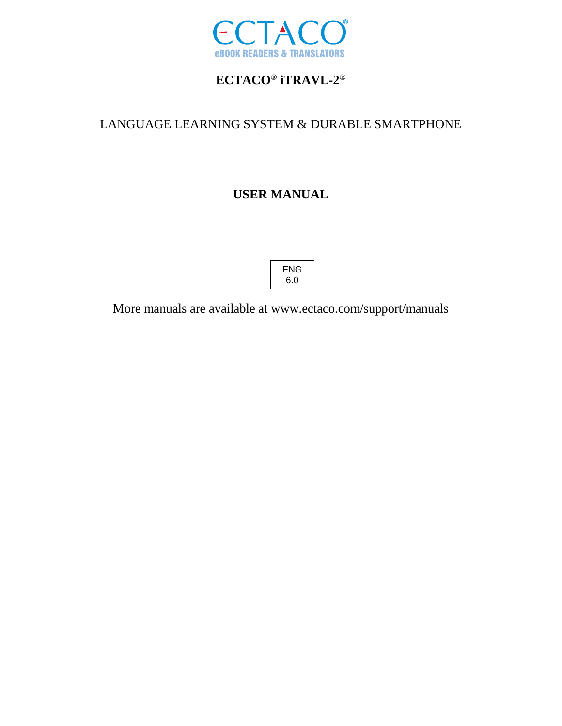

# **ECTACO® iTRAVL-2 ®**

## LANGUAGE LEARNING SYSTEM & DURABLE SMARTPHONE

# **USER MANUAL**



More manuals are available at www.ectaco.com/support/manuals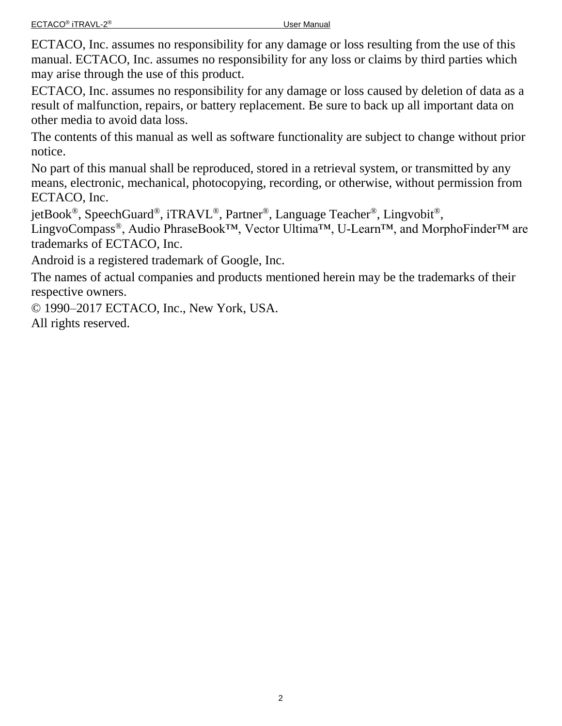ECTACO, Inc. assumes no responsibility for any damage or loss resulting from the use of this manual. ECTACO, Inc. assumes no responsibility for any loss or claims by third parties which may arise through the use of this product.

ECTACO, Inc. assumes no responsibility for any damage or loss caused by deletion of data as a result of malfunction, repairs, or battery replacement. Be sure to back up all important data on other media to avoid data loss.

The contents of this manual as well as software functionality are subject to change without prior notice.

No part of this manual shall be reproduced, stored in a retrieval system, or transmitted by any means, electronic, mechanical, photocopying, recording, or otherwise, without permission from ECTACO, Inc.

jetBook®, SpeechGuard®, iTRAVL®, Partner®, Language Teacher®, Lingvobit®,

LingvoCompass®, Audio PhraseBook™, Vector Ultima™, U-Learn™, and MorphoFinder™ are trademarks of ECTACO, Inc.

Android is a registered trademark of Google, Inc.

The names of actual companies and products mentioned herein may be the trademarks of their respective owners.

© 1990–2017 ECTACO, Inc., New York, USA. All rights reserved.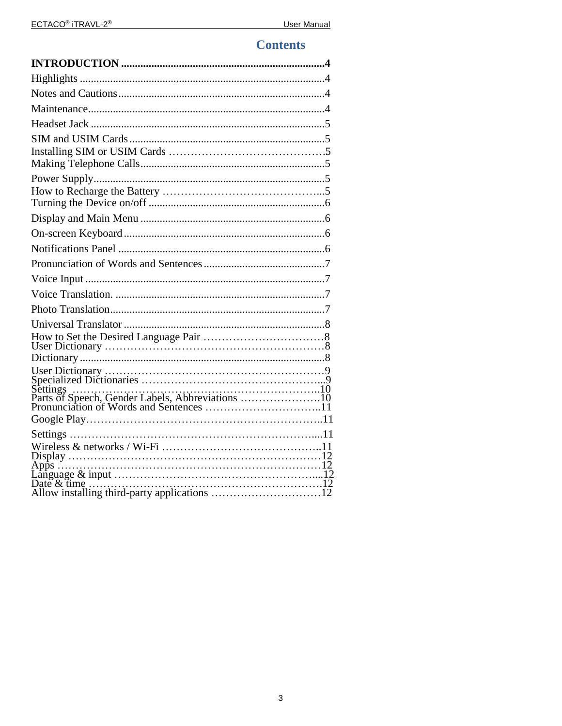### **Contents**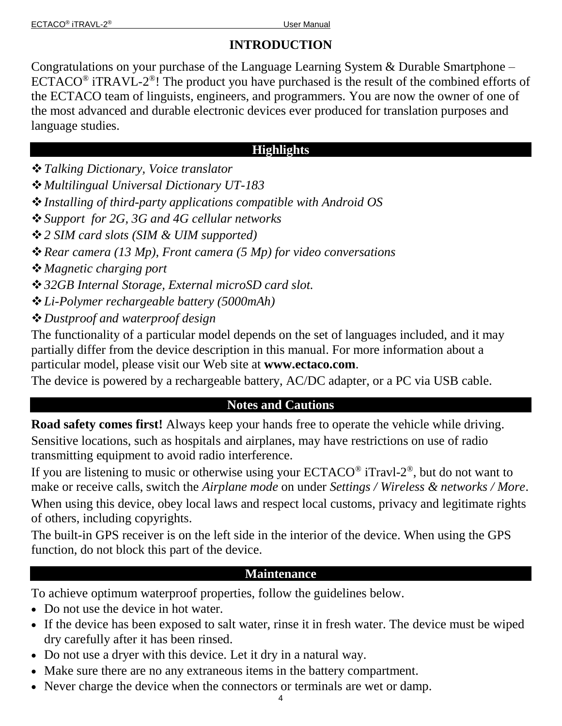# **INTRODUCTION**

<span id="page-3-0"></span>Congratulations on your purchase of the Language Learning System & Durable Smartphone – ECTACO<sup>®</sup> iTRAVL-2<sup>®</sup>! The product you have purchased is the result of the combined efforts of the ECTACO team of linguists, engineers, and programmers. You are now the owner of one of the most advanced and durable electronic devices ever produced for translation purposes and language studies.

### **Highlights**

- <span id="page-3-1"></span>*Talking Dictionary, Voice translator*
- *Multilingual Universal Dictionary UT-183*
- *Installing of third-party applications compatible with Android OS*
- *Support for 2G, 3G and 4G cellular networks*
- *2 SIM card slots (SIM & UIM supported)*
- *Rear camera (13 Mp), Front camera (5 Mp) for video conversations*
- *Magnetic charging port*
- *32GB Internal Storage, External microSD card slot.*
- *Li-Polymer rechargeable battery (5000mAh)*
- *Dustproof and waterproof design*

The functionality of a particular model depends on the set of languages included, and it may partially differ from the device description in this manual. For more information about a particular model, please visit our Web site at **www.ectaco.com**.

<span id="page-3-2"></span>The device is powered by a rechargeable battery, AC/DC adapter, or a PC via USB cable.

## **Notes and Cautions**

**Road safety comes first!** Always keep your hands free to operate the vehicle while driving. Sensitive locations, such as hospitals and airplanes, may have restrictions on use of radio transmitting equipment to avoid radio interference.

If you are listening to music or otherwise using your  $ECTACO^{\circledast}$  iTravl- $2^{\circledast}$ , but do not want to make or receive calls, switch the *Airplane mode* on under *Settings / Wireless & networks / More*.

When using this device, obey local laws and respect local customs, privacy and legitimate rights of others, including copyrights.

The built-in GPS receiver is on the left side in the interior of the device. When using the GPS function, do not block this part of the device.

## **Maintenance**

<span id="page-3-3"></span>To achieve optimum waterproof properties, follow the guidelines below.

- Do not use the device in hot water.
- If the device has been exposed to salt water, rinse it in fresh water. The device must be wiped dry carefully after it has been rinsed.
- Do not use a dryer with this device. Let it dry in a natural way.
- Make sure there are no any extraneous items in the battery compartment.
- Never charge the device when the connectors or terminals are wet or damp.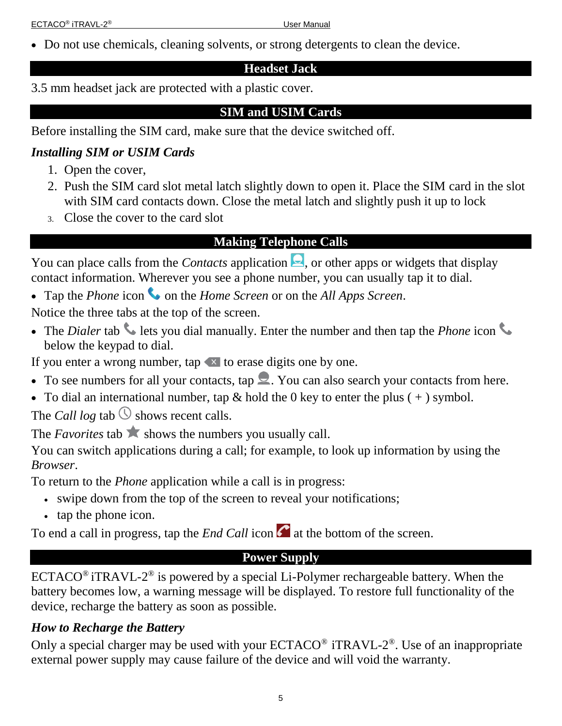<span id="page-4-0"></span>Do not use chemicals, cleaning solvents, or strong detergents to clean the device.

### **Headset Jack**

<span id="page-4-1"></span>3.5 mm headset jack are protected with a plastic cover.

### **SIM and USIM Cards**

Before installing the SIM card, make sure that the device switched off.

# <span id="page-4-2"></span>*Installing SIM or USIM Cards*

- 1. Open the cover,
- 2. Push the SIM card slot metal latch slightly down to open it. Place the SIM card in the slot with SIM card contacts down. Close the metal latch and slightly push it up to lock
- <span id="page-4-3"></span>3. Close the cover to the card slot

# **Making Telephone Calls**

You can place calls from the *Contacts* application  $\Box$ , or other apps or widgets that display contact information. Wherever you see a phone number, you can usually tap it to dial.

• Tap the *Phone* icon  $\bullet$  on the *Home Screen* or on the *All Apps Screen*.

Notice the three tabs at the top of the screen.

• The *Dialer* tab lets you dial manually. Enter the number and then tap the *Phone* icon below the keypad to dial.

If you enter a wrong number, tap  $\le$  to erase digits one by one.

- To see numbers for all your contacts, tap  $\blacktriangleright$ . You can also search your contacts from here.
- To dial an international number, tap  $\&$  hold the 0 key to enter the plus ( $+$ ) symbol.

The *Call log* tab  $\circled{S}$  shows recent calls.

The *Favorites* tab  $\triangle$  shows the numbers you usually call.

You can switch applications during a call; for example, to look up information by using the *Browser*.

To return to the *Phone* application while a call is in progress:

- swipe down from the top of the screen to reveal your notifications;
- tap the phone icon.

<span id="page-4-4"></span>To end a call in progress, tap the *End Call* icon  $\alpha$  at the bottom of the screen.

## **Power Supply**

ECTACO<sup>®</sup> iTRAVL-2<sup>®</sup> is powered by a special Li-Polymer rechargeable battery. When the battery becomes low, a warning message will be displayed. To restore full functionality of the device, recharge the battery as soon as possible.

## <span id="page-4-5"></span>*How to Recharge the Battery*

Only a special charger may be used with your  $ECTACO<sup>®</sup> iTRANL-2<sup>®</sup>$ . Use of an inappropriate external power supply may cause failure of the device and will void the warranty.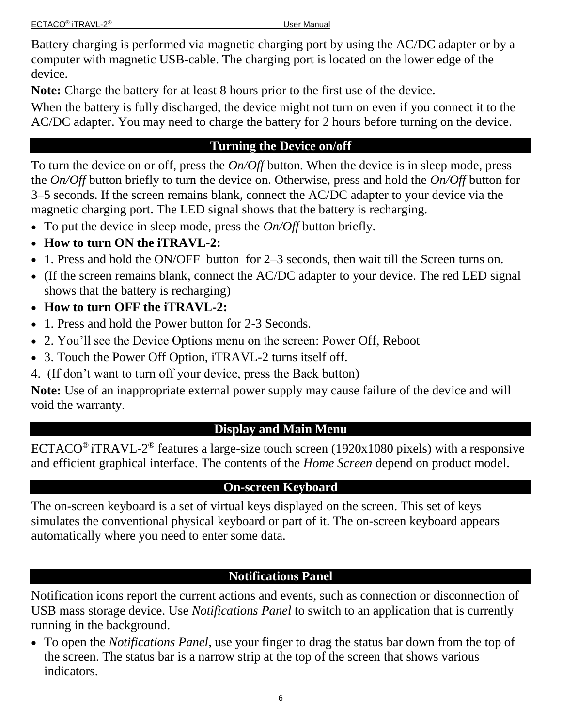Battery charging is performed via magnetic charging port by using the AC/DC adapter or by a computer with magnetic USB-cable. The charging port is located on the lower edge of the device.

**Note:** Charge the battery for at least 8 hours prior to the first use of the device.

When the battery is fully discharged, the device might not turn on even if you connect it to the AC/DC adapter. You may need to charge the battery for 2 hours before turning on the device.

# **Turning the Device on/off**

<span id="page-5-0"></span>To turn the device on or off, press the *On/Off* button. When the device is in sleep mode, press the *On/Off* button briefly to turn the device on. Otherwise, press and hold the *On/Off* button for 3–5 seconds. If the screen remains blank, connect the AC/DC adapter to your device via the magnetic charging port. The LED signal shows that the battery is recharging.

- To put the device in sleep mode, press the *On/Off* button briefly.
- **How to turn ON the iTRAVL-2:**
- 1. Press and hold the ON/OFF button for 2–3 seconds, then wait till the Screen turns on.
- (If the screen remains blank, connect the AC/DC adapter to your device. The red LED signal shows that the battery is recharging)
- **How to turn OFF the iTRAVL-2:**
- 1. Press and hold the Power button for 2-3 Seconds.
- 2. You'll see the Device Options menu on the screen: Power Off, Reboot
- 3. Touch the Power Off Option, iTRAVL-2 turns itself off.
- 4. (If don't want to turn off your device, press the Back button)

**Note:** Use of an inappropriate external power supply may cause failure of the device and will void the warranty.

## **Display and Main Menu**

<span id="page-5-1"></span>ECTACO<sup>®</sup> iTRAVL-2<sup>®</sup> features a large-size touch screen (1920x1080 pixels) with a responsive and efficient graphical interface. The contents of the *Home Screen* depend on product model.

## **On-screen Keyboard**

<span id="page-5-2"></span>The on-screen keyboard is a set of virtual keys displayed on the screen. This set of keys simulates the conventional physical keyboard or part of it. The on-screen keyboard appears automatically where you need to enter some data.

# **Notifications Panel**

<span id="page-5-3"></span>Notification icons report the current actions and events, such as connection or disconnection of USB mass storage device. Use *Notifications Panel* to switch to an application that is currently running in the background.

 To open the *Notifications Panel*, use your finger to drag the status bar down from the top of the screen. The status bar is a narrow strip at the top of the screen that shows various indicators.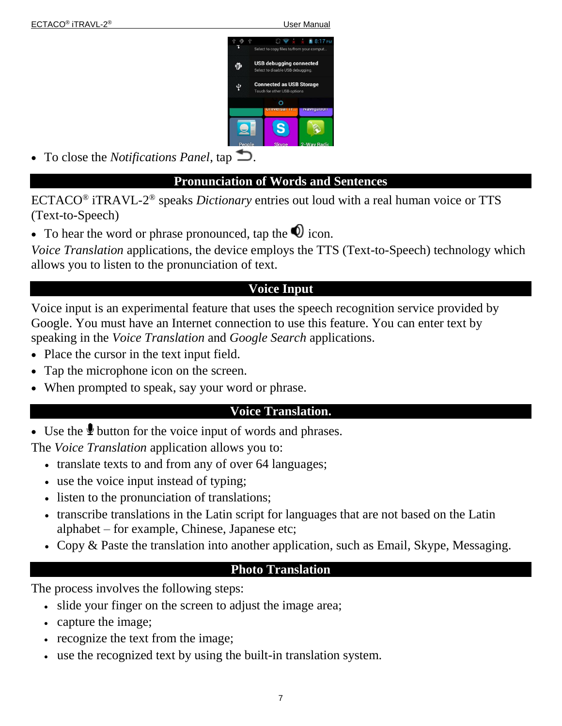

<span id="page-6-0"></span>• To close the *Notifications Panel*, tap  $\Box$ .

#### **Pronunciation of Words and Sentences**

ECTACO® iTRAVL-2 ® speaks *Dictionary* entries out loud with a real human voice or TTS (Text-to-Speech)

• To hear the word or phrase pronounced, tap the  $\bullet$  icon.

*Voice Translation* applications, the device employs the TTS (Text-to-Speech) technology which allows you to listen to the pronunciation of text.

### **Voice Input**

<span id="page-6-1"></span>Voice input is an experimental feature that uses the speech recognition service provided by Google. You must have an Internet connection to use this feature. You can enter text by speaking in the *Voice Translation* and *Google Search* applications.

- Place the cursor in the text input field.
- Tap the microphone icon on the screen.
- <span id="page-6-2"></span>• When prompted to speak, say your word or phrase.

#### **Voice Translation.**

 $\bullet$  Use the  $\&$  button for the voice input of words and phrases.

The *Voice Translation* application allows you to:

- translate texts to and from any of over 64 languages;
- use the voice input instead of typing;
- listen to the pronunciation of translations;
- transcribe translations in the Latin script for languages that are not based on the Latin alphabet – for example, Chinese, Japanese etc;
- <span id="page-6-3"></span>• Copy & Paste the translation into another application, such as Email, Skype, Messaging.

#### **Photo Translation**

The process involves the following steps:

- slide your finger on the screen to adjust the image area;
- capture the image;
- recognize the text from the image;
- use the recognized text by using the built-in translation system.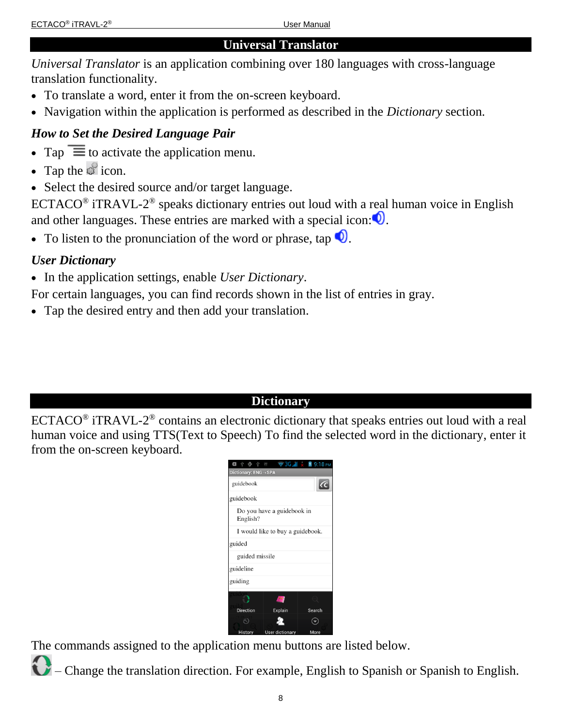#### **Universal Translator**

<span id="page-7-0"></span>*Universal Translator* is an application combining over 180 languages with cross-language translation functionality.

- To translate a word, enter it from the on-screen keyboard.
- Navigation within the application is performed as described in the *Dictionary* section.

## <span id="page-7-1"></span>*How to Set the Desired Language Pair*

- Tap  $\equiv$  to activate the application menu.
- $\bullet$  Tap the  $\bullet$  icon.
- Select the desired source and/or target language.

 $ECTACO<sup>®</sup>$  iTRAVL-2<sup>®</sup> speaks dictionary entries out loud with a real human voice in English and other languages. These entries are marked with a special icon:  $\bullet$ .

• To listen to the pronunciation of the word or phrase, tap  $\bullet$ .

### <span id="page-7-2"></span>*User Dictionary*

In the application settings, enable *User Dictionary*.

For certain languages, you can find records shown in the list of entries in gray.

Tap the desired entry and then add your translation.

### **Dictionary**

<span id="page-7-3"></span> $ECTACO<sup>®</sup>$  iTRAVL-2<sup>®</sup> contains an electronic dictionary that speaks entries out loud with a real human voice and using TTS(Text to Speech) To find the selected word in the dictionary, enter it from the on-screen keyboard.

| ψ<br>Œ                                 |                         | $\approx$ 3G $\frac{1}{2}$ $\times$ 39:18 PM |  |
|----------------------------------------|-------------------------|----------------------------------------------|--|
| Dictionary: ENG → SPA                  |                         |                                              |  |
| guidebook                              |                         |                                              |  |
| guidebook                              |                         |                                              |  |
| Do you have a guidebook in<br>English? |                         |                                              |  |
| I would like to buy a guidebook.       |                         |                                              |  |
| guided                                 |                         |                                              |  |
| guided missile                         |                         |                                              |  |
| guideline                              |                         |                                              |  |
| guiding                                |                         |                                              |  |
|                                        |                         |                                              |  |
| <b>Direction</b>                       | <b>Explain</b>          | Search                                       |  |
|                                        |                         |                                              |  |
| History                                | <b>Liser dictionary</b> | More                                         |  |

The commands assigned to the application menu buttons are listed below.

– Change the translation direction. For example, English to Spanish or Spanish to English.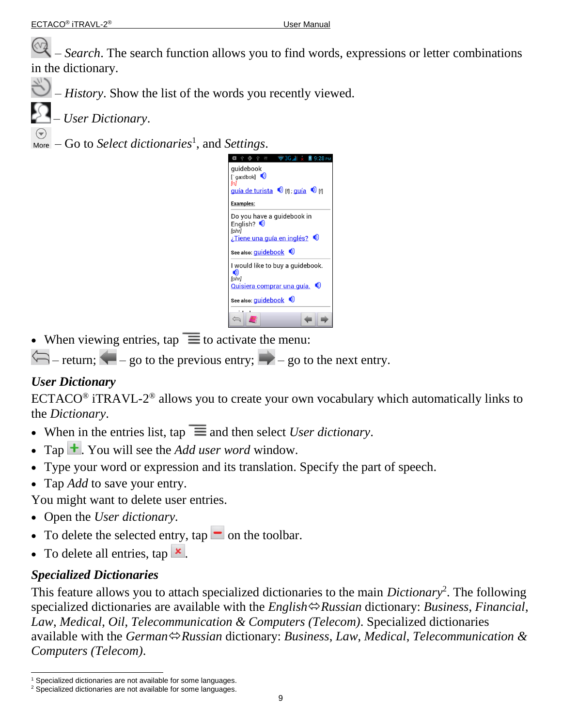– *Search*. The search function allows you to find words, expressions or letter combinations in the dictionary.

 $\bigcup_{n=1}^{\infty}$  – *History*. Show the list of the words you recently viewed.

– *User Dictionary*.

– Go to *Select dictionaries*<sup>1</sup> , and *Settings*.

| $\triangledown$ 3G $_{\rm 4L}$ $\times$<br>中西中<br>ÿ,<br>9:28 PM<br>W                                                      |
|---------------------------------------------------------------------------------------------------------------------------|
| quidebook<br>[ $g$ aɪdbʊk] $\bullet$<br>[n]<br>quía de turista $\bullet$ if quía $\bullet$ if                             |
| <b>Examples:</b>                                                                                                          |
| Do you have a guidebook in<br>English? $\bigcirc$<br>[phr]<br>Tiene una guía en inglés? ©<br>See also: <i>guidebook</i> © |
| I would like to buy a quidebook.                                                                                          |
| [phr]<br><u>Quisiera comprar una guía.</u> ©                                                                              |
| See also: <i>guidebook</i> ©                                                                                              |
|                                                                                                                           |

• When viewing entries,  $\tan \equiv \text{to activate the menu:}$ 

 $\leftarrow$  – return;  $\leftarrow$  – go to the previous entry;  $\rightarrow$  – go to the next entry.

## <span id="page-8-0"></span>*User Dictionary*

ECTACO<sup>®</sup> iTRAVL-2<sup>®</sup> allows you to create your own vocabulary which automatically links to the *Dictionary*.

- When in the entries list, tap  $\equiv$  and then select *User dictionary*.
- Tap  $\pm$ . You will see the *Add user word* window.
- Type your word or expression and its translation. Specify the part of speech.
- Tap *Add* to save your entry.

You might want to delete user entries.

- Open the *User dictionary.*
- To delete the selected entry,  $\tan \Box$  on the toolbar.
- To delete all entries,  $\tan \mathbf{x}$ .

# <span id="page-8-1"></span>*Specialized Dictionaries*

This feature allows you to attach specialized dictionaries to the main *Dictionary*<sup>2</sup> . The following specialized dictionaries are available with the *English* $\Leftrightarrow$ *Russian* dictionary: *Business*, *Financial*, *Law*, *Medical*, *Oil*, *Telecommunication & Computers (Telecom)*. Specialized dictionaries available with the *GermanRussian* dictionary: *Business*, *Law*, *Medical*, *Telecommunication & Computers (Telecom)*.

l  $1$  Specialized dictionaries are not available for some languages.

<sup>&</sup>lt;sup>2</sup> Specialized dictionaries are not available for some languages.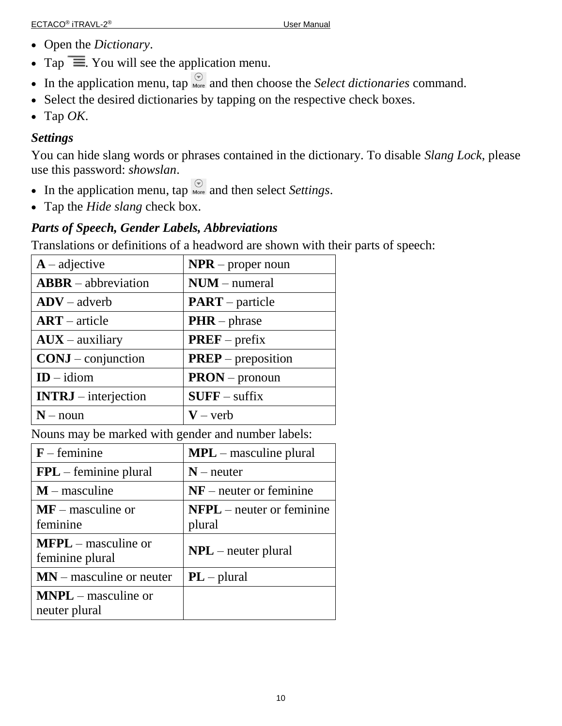- Open the *Dictionary*.
- Tap  $\equiv$  You will see the application menu.
- In the application menu, tap  $\bigcirc_{\text{More}}^{\odot}$  and then choose the *Select dictionaries* command.
- Select the desired dictionaries by tapping on the respective check boxes.
- $\bullet$  Tap OK.

### <span id="page-9-0"></span>*Settings*

You can hide slang words or phrases contained in the dictionary. To disable *Slang Lock*, please use this password: *showslan*.

- In the application menu, tap  $\bigotimes_{More}$  and then select *Settings*.
- Tap the *Hide slang* check box.

## <span id="page-9-1"></span>*Parts of Speech, Gender Labels, Abbreviations*

Translations or definitions of a headword are shown with their parts of speech:

| $A$ – adjective        | $NPR$ – proper noun       |
|------------------------|---------------------------|
| $ABBR - abbreviation$  | $NUM - numeral$           |
| $ADV - adverb$         | $PART$ – particle         |
| $ART - article$        | $PHR$ – phrase            |
| $AUX - auxiliary$      | $PREF$ – prefix           |
| $CONJ$ – conjunction   | <b>PREP</b> – preposition |
| $ID - idiom$           | $PRON$ – pronoun          |
| $INTRJ -$ interjection | $SUFF - suffix$           |
| $N - noun$             | $V - verb$                |

Nouns may be marked with gender and number labels:

| $F$ – feminine                           | $MPL$ – masculine plural              |  |
|------------------------------------------|---------------------------------------|--|
| $FPL$ – feminine plural                  | $N$ – neuter                          |  |
| $M$ – masculine                          | $NF$ – neuter or feminine             |  |
| $\bf{MF}$ – masculine or<br>feminine     | $NFPL$ – neuter or feminine<br>plural |  |
| $MFPL$ – masculine or<br>feminine plural | $NPL$ – neuter plural                 |  |
| $MN$ – masculine or neuter               | $PL$ – plural                         |  |
| $MNPL$ – masculine or<br>neuter plural   |                                       |  |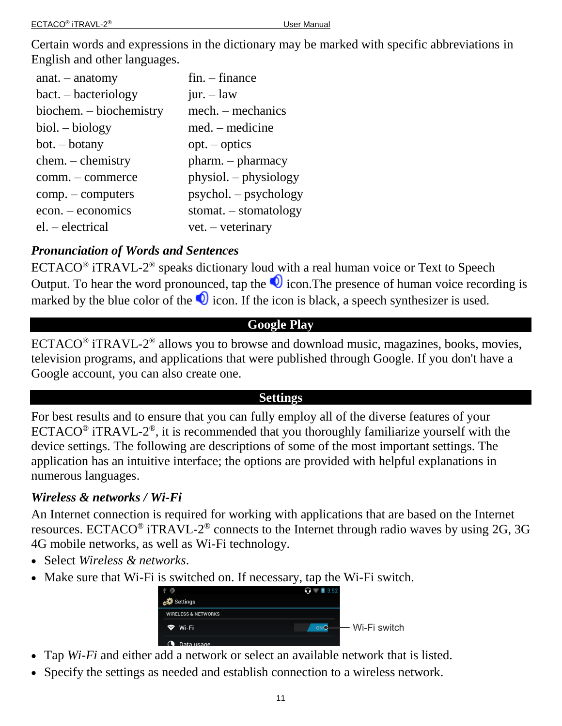Certain words and expressions in the dictionary may be marked with specific abbreviations in English and other languages.

| $anat. - anatomy$                    | $fin. - finance$        |
|--------------------------------------|-------------------------|
| $\text{bact.} - \text{bacteriology}$ | jur. $-$ law            |
| biochem. – biochemistry              | mech. – mechanics       |
| $biol. - biology$                    | $med.$ – medicine       |
| $bot. - botany$                      | $opt. - optics$         |
| $chem. - chemistry$                  | $pharm. - pharmacy$     |
| comm. – commerce                     | $physiol. - physiology$ |
| $comp. - computers$                  | $psychol. - psychology$ |
| $econ. -economics$                   | $stomat. - stomatology$ |
| $el. - electrical$                   | vet. – veterinary       |

## <span id="page-10-0"></span>*Pronunciation of Words and Sentences*

 $ECTACO^{\circledast}$  iTRAVL-2<sup>®</sup> speaks dictionary loud with a real human voice or Text to Speech Output. To hear the word pronounced, tap the  $\bullet$  icon. The presence of human voice recording is marked by the blue color of the  $\bullet$  icon. If the icon is black, a speech synthesizer is used.

# **Google Play**

<span id="page-10-1"></span> $ECTACO^{\circ}$  iTRAVL-2<sup>®</sup> allows you to browse and download music, magazines, books, movies, television programs, and applications that were published through Google. If you don't have a Google account, you can also create one.

### **Settings**

<span id="page-10-2"></span>For best results and to ensure that you can fully employ all of the diverse features of your ECTACO<sup>®</sup> iTRAVL-2<sup>®</sup>, it is recommended that you thoroughly familiarize yourself with the device settings. The following are descriptions of some of the most important settings. The application has an intuitive interface; the options are provided with helpful explanations in numerous languages.

### <span id="page-10-3"></span>*Wireless & networks / Wi-Fi*

An Internet connection is required for working with applications that are based on the Internet resources. ECTACO<sup>®</sup> iTRAVL-2<sup>®</sup> connects to the Internet through radio waves by using 2G, 3G 4G mobile networks, as well as Wi-Fi technology.

- Select *Wireless & networks*.
- Make sure that Wi-Fi is switched on. If necessary, tap the Wi-Fi switch.

|                                | \$ 3:52 |              |
|--------------------------------|---------|--------------|
| <b>BAR</b> Settings            |         |              |
| <b>WIRELESS &amp; NETWORKS</b> |         |              |
| ক Wi-Fi                        |         | Wi-Fi switch |
| Data usage                     |         |              |

- Tap *Wi-Fi* and either add a network or select an available network that is listed.
- Specify the settings as needed and establish connection to a wireless network.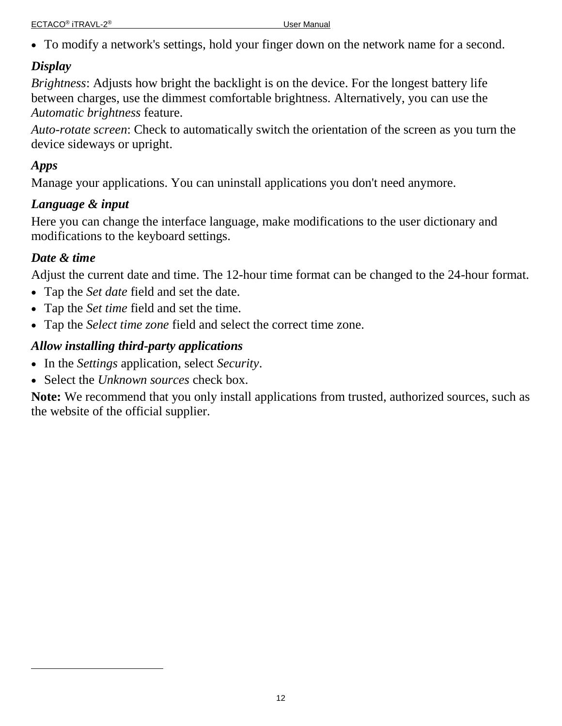To modify a network's settings, hold your finger down on the network name for a second.

## <span id="page-11-0"></span>*Display*

*Brightness*: Adjusts how bright the backlight is on the device. For the longest battery life between charges, use the dimmest comfortable brightness. Alternatively, you can use the *Automatic brightness* feature.

*Auto-rotate screen*: Check to automatically switch the orientation of the screen as you turn the device sideways or upright.

## <span id="page-11-1"></span>*Apps*

l

Manage your applications. You can uninstall applications you don't need anymore.

## <span id="page-11-2"></span>*Language & input*

Here you can change the interface language, make modifications to the user dictionary and modifications to the keyboard settings.

## <span id="page-11-3"></span>*Date & time*

Adjust the current date and time. The 12-hour time format can be changed to the 24-hour format.

- Tap the *Set date* field and set the date.
- Tap the *Set time* field and set the time.
- Tap the *Select time zone* field and select the correct time zone.

## <span id="page-11-4"></span>*Allow installing third-party applications*

- In the *Settings* application, select *Security*.
- Select the *Unknown sources* check box.

**Note:** We recommend that you only install applications from trusted, authorized sources, such as the website of the official supplier.